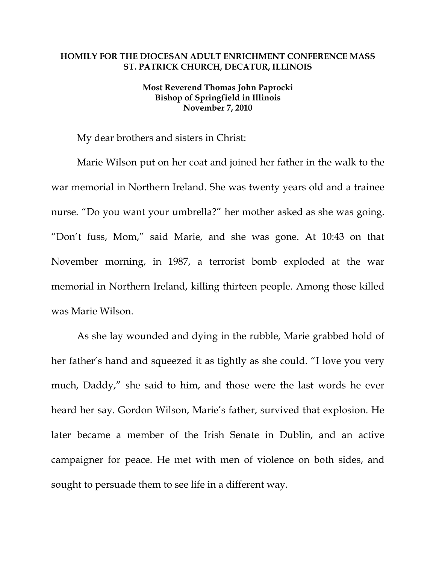## **HOMILY FOR THE DIOCESAN ADULT ENRICHMENT CONFERENCE MASS ST. PATRICK CHURCH, DECATUR, ILLINOIS**

## **Most Reverend Thomas John Paprocki Bishop of Springfield in Illinois November 7, 2010**

My dear brothers and sisters in Christ:

Marie Wilson put on her coat and joined her father in the walk to the war memorial in Northern Ireland. She was twenty years old and a trainee nurse. "Do you want your umbrella?" her mother asked as she was going. "Don't fuss, Mom," said Marie, and she was gone. At 10:43 on that November morning, in 1987, a terrorist bomb exploded at the war memorial in Northern Ireland, killing thirteen people. Among those killed was Marie Wilson.

As she lay wounded and dying in the rubble, Marie grabbed hold of her father's hand and squeezed it as tightly as she could. "I love you very much, Daddy," she said to him, and those were the last words he ever heard her say. Gordon Wilson, Marie's father, survived that explosion. He later became a member of the Irish Senate in Dublin, and an active campaigner for peace. He met with men of violence on both sides, and sought to persuade them to see life in a different way.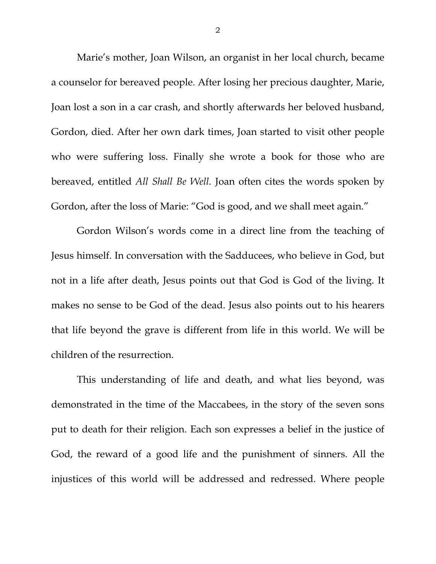Marie's mother, Joan Wilson, an organist in her local church, became a counselor for bereaved people. After losing her precious daughter, Marie, Joan lost a son in a car crash, and shortly afterwards her beloved husband, Gordon, died. After her own dark times, Joan started to visit other people who were suffering loss. Finally she wrote a book for those who are bereaved, entitled *All Shall Be Well.* Joan often cites the words spoken by Gordon, after the loss of Marie: "God is good, and we shall meet again."

Gordon Wilson's words come in a direct line from the teaching of Jesus himself. In conversation with the Sadducees, who believe in God, but not in a life after death, Jesus points out that God is God of the living. It makes no sense to be God of the dead. Jesus also points out to his hearers that life beyond the grave is different from life in this world. We will be children of the resurrection.

This understanding of life and death, and what lies beyond, was demonstrated in the time of the Maccabees, in the story of the seven sons put to death for their religion. Each son expresses a belief in the justice of God, the reward of a good life and the punishment of sinners. All the injustices of this world will be addressed and redressed. Where people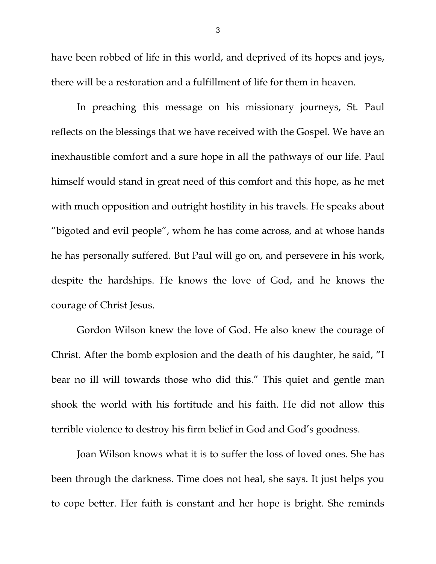have been robbed of life in this world, and deprived of its hopes and joys, there will be a restoration and a fulfillment of life for them in heaven.

In preaching this message on his missionary journeys, St. Paul reflects on the blessings that we have received with the Gospel. We have an inexhaustible comfort and a sure hope in all the pathways of our life. Paul himself would stand in great need of this comfort and this hope, as he met with much opposition and outright hostility in his travels. He speaks about "bigoted and evil people", whom he has come across, and at whose hands he has personally suffered. But Paul will go on, and persevere in his work, despite the hardships. He knows the love of God, and he knows the courage of Christ Jesus.

Gordon Wilson knew the love of God. He also knew the courage of Christ. After the bomb explosion and the death of his daughter, he said, "I bear no ill will towards those who did this." This quiet and gentle man shook the world with his fortitude and his faith. He did not allow this terrible violence to destroy his firm belief in God and God's goodness.

Joan Wilson knows what it is to suffer the loss of loved ones. She has been through the darkness. Time does not heal, she says. It just helps you to cope better. Her faith is constant and her hope is bright. She reminds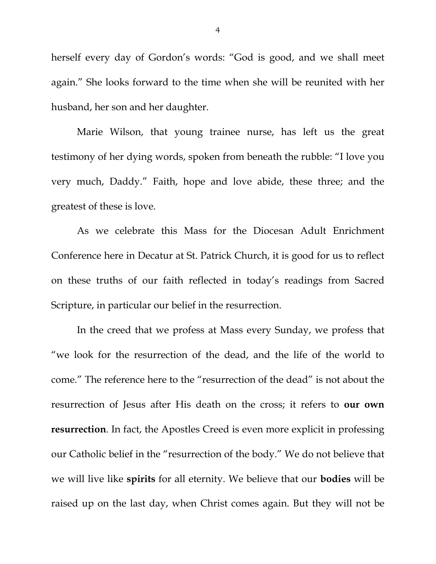herself every day of Gordon's words: "God is good, and we shall meet again." She looks forward to the time when she will be reunited with her husband, her son and her daughter.

Marie Wilson, that young trainee nurse, has left us the great testimony of her dying words, spoken from beneath the rubble: "I love you very much, Daddy." Faith, hope and love abide, these three; and the greatest of these is love.

As we celebrate this Mass for the Diocesan Adult Enrichment Conference here in Decatur at St. Patrick Church, it is good for us to reflect on these truths of our faith reflected in today's readings from Sacred Scripture, in particular our belief in the resurrection.

In the creed that we profess at Mass every Sunday, we profess that "we look for the resurrection of the dead, and the life of the world to come." The reference here to the "resurrection of the dead" is not about the resurrection of Jesus after His death on the cross; it refers to **our own resurrection**. In fact, the Apostles Creed is even more explicit in professing our Catholic belief in the "resurrection of the body." We do not believe that we will live like **spirits** for all eternity. We believe that our **bodies** will be raised up on the last day, when Christ comes again. But they will not be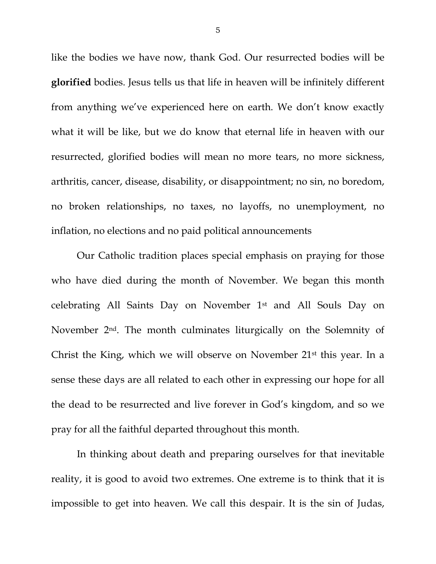like the bodies we have now, thank God. Our resurrected bodies will be **glorified** bodies. Jesus tells us that life in heaven will be infinitely different from anything we've experienced here on earth. We don't know exactly what it will be like, but we do know that eternal life in heaven with our resurrected, glorified bodies will mean no more tears, no more sickness, arthritis, cancer, disease, disability, or disappointment; no sin, no boredom, no broken relationships, no taxes, no layoffs, no unemployment, no inflation, no elections and no paid political announcements

Our Catholic tradition places special emphasis on praying for those who have died during the month of November. We began this month celebrating All Saints Day on November 1st and All Souls Day on November 2nd. The month culminates liturgically on the Solemnity of Christ the King, which we will observe on November 21st this year. In a sense these days are all related to each other in expressing our hope for all the dead to be resurrected and live forever in God's kingdom, and so we pray for all the faithful departed throughout this month.

In thinking about death and preparing ourselves for that inevitable reality, it is good to avoid two extremes. One extreme is to think that it is impossible to get into heaven. We call this despair. It is the sin of Judas,

5